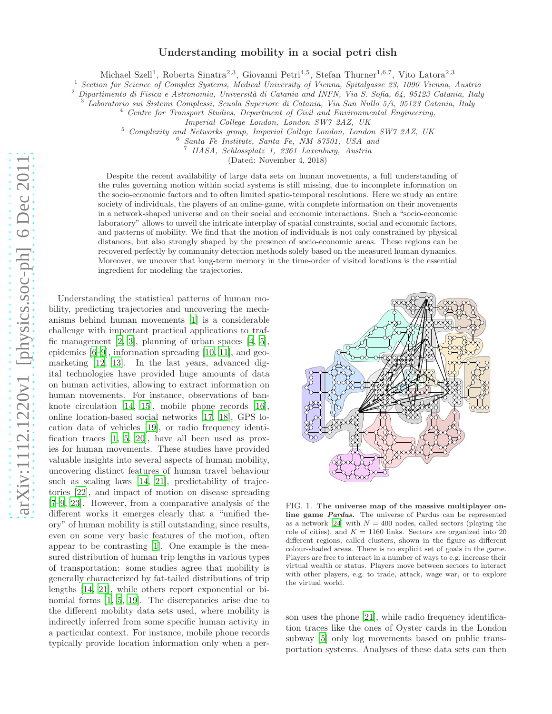# Understanding mobility in a social petri dish

Michael Szell<sup>1</sup>, Roberta Sinatra<sup>2,3</sup>, Giovanni Petri<sup>4,5</sup>, Stefan Thurner<sup>1,6,7</sup>, Vito Latora<sup>2,3</sup>

<sup>1</sup> *Section for Science of Complex Systems, Medical University of Vienna, Spitalgasse 23, 1090 Vienna, Austria*

<sup>2</sup> *Dipartimento di Fisica e Astronomia, Universit`a di Catania and INFN, Via S. Sofia, 64, 95123 Catania, Italy*

<sup>3</sup> *Laboratorio sui Sistemi Complessi, Scuola Superiore di Catania, Via San Nullo 5/i, 95123 Catania, Italy*

<sup>4</sup> *Centre for Transport Studies, Department of Civil and Environmental Engineering,*

*Imperial College London, London SW7 2AZ, UK*

<sup>5</sup> *Complexity and Networks group, Imperial College London, London SW7 2AZ, UK*

<sup>6</sup> *Santa Fe Institute, Santa Fe, NM 87501, USA and*

7 *IIASA, Schlossplatz 1, 2361 Laxenburg, Austria*

(Dated: November 4, 2018)

Despite the recent availability of large data sets on human movements, a full understanding of the rules governing motion within social systems is still missing, due to incomplete information on the socio-economic factors and to often limited spatio-temporal resolutions. Here we study an entire society of individuals, the players of an online-game, with complete information on their movements in a network-shaped universe and on their social and economic interactions. Such a "socio-economic laboratory" allows to unveil the intricate interplay of spatial constraints, social and economic factors, and patterns of mobility. We find that the motion of individuals is not only constrained by physical distances, but also strongly shaped by the presence of socio-economic areas. These regions can be recovered perfectly by community detection methods solely based on the measured human dynamics. Moreover, we uncover that long-term memory in the time-order of visited locations is the essential ingredient for modeling the trajectories.

Understanding the statistical patterns of human mobility, predicting trajectories and uncovering the mechanisms behind human movements [\[1](#page-6-0)] is a considerable challenge with important practical applications to traffic management  $[2, 3]$  $[2, 3]$ , planning of urban spaces  $[4, 5]$  $[4, 5]$ , epidemics [\[6](#page-6-5)[–9](#page-6-6)], information spreading [\[10](#page-6-7), [11](#page-6-8)], and geomarketing [\[12](#page-6-9), [13](#page-6-10)]. In the last years, advanced digital technologies have provided huge amounts of data on human activities, allowing to extract information on human movements. For instance, observations of banknote circulation [\[14,](#page-7-0) [15](#page-7-1)], mobile phone records [\[16\]](#page-7-2), online location-based social networks [\[17,](#page-7-3) [18](#page-7-4)], GPS location data of vehicles [\[19](#page-7-5)], or radio frequency identification traces [\[1,](#page-6-0) [5,](#page-6-4) [20\]](#page-7-6), have all been used as proxies for human movements. These studies have provided valuable insights into several aspects of human mobility, uncovering distinct features of human travel behaviour such as scaling laws [\[14](#page-7-0), [21](#page-7-7)], predictability of trajectories [\[22](#page-7-8)], and impact of motion on disease spreading [\[7](#page-6-11)[–9,](#page-6-6) [23\]](#page-7-9). However, from a comparative analysis of the different works it emerges clearly that a "unified theory" of human mobility is still outstanding, since results, even on some very basic features of the motion, often appear to be contrasting [\[1](#page-6-0)]. One example is the measured distribution of human trip lengths in various types of transportation: some studies agree that mobility is generally characterized by fat-tailed distributions of trip lengths [\[14](#page-7-0), [21\]](#page-7-7), while others report exponential or binomial forms [\[1](#page-6-0), [5](#page-6-4), [19](#page-7-5)]. The discrepancies arise due to the different mobility data sets used, where mobility is indirectly inferred from some specific human activity in a particular context. For instance, mobile phone records typically provide location information only when a per-



<span id="page-0-0"></span>FIG. 1. The universe map of the massive multiplayer online game Pardus. The universe of Pardus can be represented as a network [\[24](#page-7-10)] with  $N = 400$  nodes, called sectors (playing the role of cities), and  $K = 1160$  links. Sectors are organized into 20 different regions, called clusters, shown in the figure as different colour-shaded areas. There is no explicit set of goals in the game. Players are free to interact in a number of ways to e.g. increase their virtual wealth or status. Players move between sectors to interact with other players, e.g. to trade, attack, wage war, or to explore the virtual world.

son uses the phone [\[21](#page-7-7)], while radio frequency identification traces like the ones of Oyster cards in the London subway [\[5\]](#page-6-4) only log movements based on public transportation systems. Analyses of these data sets can then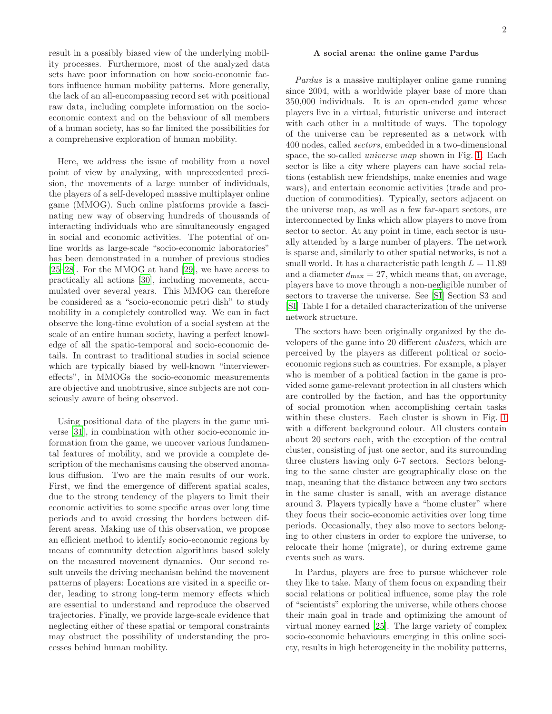result in a possibly biased view of the underlying mobility processes. Furthermore, most of the analyzed data sets have poor information on how socio-economic factors influence human mobility patterns. More generally, the lack of an all-encompassing record set with positional raw data, including complete information on the socioeconomic context and on the behaviour of all members of a human society, has so far limited the possibilities for a comprehensive exploration of human mobility.

Here, we address the issue of mobility from a novel point of view by analyzing, with unprecedented precision, the movements of a large number of individuals, the players of a self-developed massive multiplayer online game (MMOG). Such online platforms provide a fascinating new way of observing hundreds of thousands of interacting individuals who are simultaneously engaged in social and economic activities. The potential of online worlds as large-scale "socio-economic laboratories" has been demonstrated in a number of previous studies [\[25](#page-7-11)[–28\]](#page-7-12). For the MMOG at hand [\[29](#page-7-13)], we have access to practically all actions [\[30\]](#page-7-14), including movements, accumulated over several years. This MMOG can therefore be considered as a "socio-economic petri dish" to study mobility in a completely controlled way. We can in fact observe the long-time evolution of a social system at the scale of an entire human society, having a perfect knowledge of all the spatio-temporal and socio-economic details. In contrast to traditional studies in social science which are typically biased by well-known "interviewereffects", in MMOGs the socio-economic measurements are objective and unobtrusive, since subjects are not consciously aware of being observed.

Using positional data of the players in the game universe [\[31](#page-7-15)], in combination with other socio-economic information from the game, we uncover various fundamental features of mobility, and we provide a complete description of the mechanisms causing the observed anomalous diffusion. Two are the main results of our work. First, we find the emergence of different spatial scales, due to the strong tendency of the players to limit their economic activities to some specific areas over long time periods and to avoid crossing the borders between different areas. Making use of this observation, we propose an efficient method to identify socio-economic regions by means of community detection algorithms based solely on the measured movement dynamics. Our second result unveils the driving mechanism behind the movement patterns of players: Locations are visited in a specific order, leading to strong long-term memory effects which are essential to understand and reproduce the observed trajectories. Finally, we provide large-scale evidence that neglecting either of these spatial or temporal constraints may obstruct the possibility of understanding the processes behind human mobility.

## A social arena: the online game Pardus

Pardus is a massive multiplayer online game running since 2004, with a worldwide player base of more than 350,000 individuals. It is an open-ended game whose players live in a virtual, futuristic universe and interact with each other in a multitude of ways. The topology of the universe can be represented as a network with 400 nodes, called sectors, embedded in a two-dimensional space, the so-called universe map shown in Fig. [1.](#page-0-0) Each sector is like a city where players can have social relations (establish new friendships, make enemies and wage wars), and entertain economic activities (trade and production of commodities). Typically, sectors adjacent on the universe map, as well as a few far-apart sectors, are interconnected by links which allow players to move from sector to sector. At any point in time, each sector is usually attended by a large number of players. The network is sparse and, similarly to other spatial networks, is not a small world. It has a characteristic path length  $L = 11.89$ and a diameter  $d_{\text{max}} = 27$ , which means that, on average, players have to move through a non-negligible number of sectors to traverse the universe. See [\[SI\]](#page-7-16) Section S3 and [\[SI\]](#page-7-16) Table I for a detailed characterization of the universe network structure.

The sectors have been originally organized by the developers of the game into 20 different clusters, which are perceived by the players as different political or socioeconomic regions such as countries. For example, a player who is member of a political faction in the game is provided some game-relevant protection in all clusters which are controlled by the faction, and has the opportunity of social promotion when accomplishing certain tasks within these clusters. Each cluster is shown in Fig. [1](#page-0-0) with a different background colour. All clusters contain about 20 sectors each, with the exception of the central cluster, consisting of just one sector, and its surrounding three clusters having only 6-7 sectors. Sectors belonging to the same cluster are geographically close on the map, meaning that the distance between any two sectors in the same cluster is small, with an average distance around 3. Players typically have a "home cluster" where they focus their socio-economic activities over long time periods. Occasionally, they also move to sectors belonging to other clusters in order to explore the universe, to relocate their home (migrate), or during extreme game events such as wars.

In Pardus, players are free to pursue whichever role they like to take. Many of them focus on expanding their social relations or political influence, some play the role of "scientists" exploring the universe, while others choose their main goal in trade and optimizing the amount of virtual money earned [\[25\]](#page-7-11). The large variety of complex socio-economic behaviours emerging in this online society, results in high heterogeneity in the mobility patterns,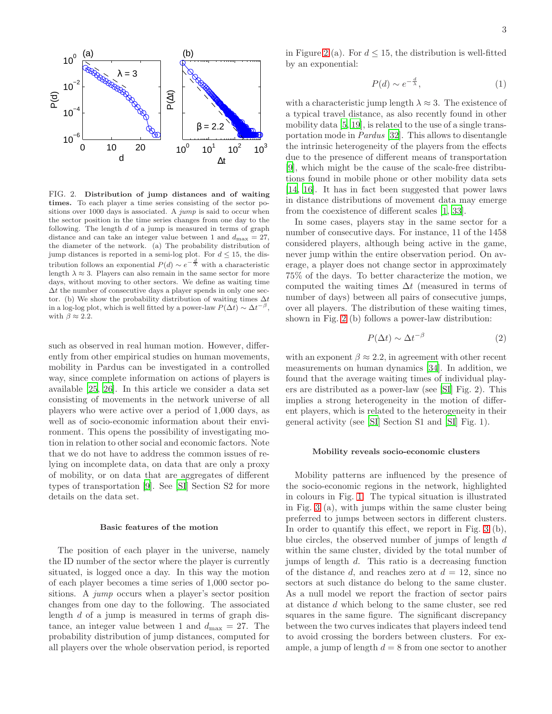

<span id="page-2-0"></span>FIG. 2. Distribution of jump distances and of waiting times. To each player a time series consisting of the sector positions over 1000 days is associated. A jump is said to occur when the sector position in the time series changes from one day to the following. The length  $d$  of a jump is measured in terms of graph distance and can take an integer value between 1 and  $d_{\text{max}} = 27$ , the diameter of the network. (a) The probability distribution of jump distances is reported in a semi-log plot. For  $d \leq 15$ , the distribution follows an exponential  $P(d) \sim e^{-\frac{d}{\lambda}}$  with a characteristic length  $\lambda \approx 3$ . Players can also remain in the same sector for more days, without moving to other sectors. We define as waiting time  $\Delta t$  the number of consecutive days a player spends in only one sector. (b) We show the probability distribution of waiting times  $\Delta t$ in a log-log plot, which is well fitted by a power-law  $P(\Delta t) \sim \Delta t^{-\beta}$ , with  $\beta \approx 2.2$ .

such as observed in real human motion. However, differently from other empirical studies on human movements, mobility in Pardus can be investigated in a controlled way, since complete information on actions of players is available [\[25](#page-7-11), [26\]](#page-7-17). In this article we consider a data set consisting of movements in the network universe of all players who were active over a period of 1,000 days, as well as of socio-economic information about their environment. This opens the possibility of investigating motion in relation to other social and economic factors. Note that we do not have to address the common issues of relying on incomplete data, on data that are only a proxy of mobility, or on data that are aggregates of different types of transportation [\[9](#page-6-6)]. See [\[SI\]](#page-7-16) Section S2 for more details on the data set.

#### Basic features of the motion

The position of each player in the universe, namely the ID number of the sector where the player is currently situated, is logged once a day. In this way the motion of each player becomes a time series of 1,000 sector positions. A jump occurs when a player's sector position changes from one day to the following. The associated length  $d$  of a jump is measured in terms of graph distance, an integer value between 1 and  $d_{\text{max}} = 27$ . The probability distribution of jump distances, computed for all players over the whole observation period, is reported in Figure [2](#page-2-0) (a). For  $d \leq 15$ , the distribution is well-fitted by an exponential:

<span id="page-2-2"></span>
$$
P(d) \sim e^{-\frac{d}{\lambda}},\tag{1}
$$

with a characteristic jump length  $\lambda \approx 3$ . The existence of a typical travel distance, as also recently found in other mobility data [\[5,](#page-6-4) [19\]](#page-7-5), is related to the use of a single transportation mode in Pardus [\[32\]](#page-7-18). This allows to disentangle the intrinsic heterogeneity of the players from the effects due to the presence of different means of transportation [\[9\]](#page-6-6), which might be the cause of the scale-free distributions found in mobile phone or other mobility data sets [\[14,](#page-7-0) [16\]](#page-7-2). It has in fact been suggested that power laws in distance distributions of movement data may emerge from the coexistence of different scales [\[1,](#page-6-0) [33](#page-7-19)].

In some cases, players stay in the same sector for a number of consecutive days. For instance, 11 of the 1458 considered players, although being active in the game, never jump within the entire observation period. On average, a player does not change sector in approximately 75% of the days. To better characterize the motion, we computed the waiting times  $\Delta t$  (measured in terms of number of days) between all pairs of consecutive jumps, over all players. The distribution of these waiting times, shown in Fig. [2](#page-2-0) (b) follows a power-law distribution:

<span id="page-2-1"></span>
$$
P(\Delta t) \sim \Delta t^{-\beta} \tag{2}
$$

with an exponent  $\beta \approx 2.2$ , in agreement with other recent measurements on human dynamics [\[34\]](#page-7-20). In addition, we found that the average waiting times of individual players are distributed as a power-law (see [\[SI](#page-7-16)] Fig. 2). This implies a strong heterogeneity in the motion of different players, which is related to the heterogeneity in their general activity (see [\[SI\]](#page-7-16) Section S1 and [\[SI\]](#page-7-16) Fig. 1).

### Mobility reveals socio-economic clusters

Mobility patterns are influenced by the presence of the socio-economic regions in the network, highlighted in colours in Fig. [1.](#page-0-0) The typical situation is illustrated in Fig. [3](#page-3-0) (a), with jumps within the same cluster being preferred to jumps between sectors in different clusters. In order to quantify this effect, we report in Fig. [3](#page-3-0) (b), blue circles, the observed number of jumps of length d within the same cluster, divided by the total number of jumps of length d. This ratio is a decreasing function of the distance d, and reaches zero at  $d = 12$ , since no sectors at such distance do belong to the same cluster. As a null model we report the fraction of sector pairs at distance d which belong to the same cluster, see red squares in the same figure. The significant discrepancy between the two curves indicates that players indeed tend to avoid crossing the borders between clusters. For example, a jump of length  $d = 8$  from one sector to another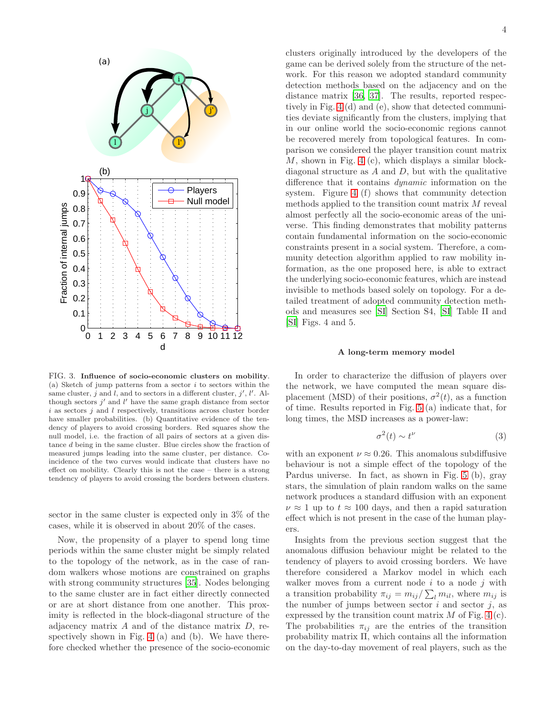

<span id="page-3-0"></span>FIG. 3. Influence of socio-economic clusters on mobility. (a) Sketch of jump patterns from a sector  $i$  to sectors within the same cluster, j and l, and to sectors in a different cluster, j', l'. Although sectors  $j'$  and  $l'$  have the same graph distance from sector  $i$  as sectors  $j$  and  $l$  respectively, transitions across cluster border have smaller probabilities. (b) Quantitative evidence of the tendency of players to avoid crossing borders. Red squares show the null model, i.e. the fraction of all pairs of sectors at a given distance d being in the same cluster. Blue circles show the fraction of measured jumps leading into the same cluster, per distance. Coincidence of the two curves would indicate that clusters have no effect on mobility. Clearly this is not the case – there is a strong tendency of players to avoid crossing the borders between clusters.

sector in the same cluster is expected only in 3% of the cases, while it is observed in about 20% of the cases.

Now, the propensity of a player to spend long time periods within the same cluster might be simply related to the topology of the network, as in the case of random walkers whose motions are constrained on graphs with strong community structures [\[35\]](#page-7-21). Nodes belonging to the same cluster are in fact either directly connected or are at short distance from one another. This proximity is reflected in the block-diagonal structure of the adjacency matrix  $A$  and of the distance matrix  $D$ , respectively shown in Fig. [4](#page-4-0) (a) and (b). We have therefore checked whether the presence of the socio-economic clusters originally introduced by the developers of the game can be derived solely from the structure of the network. For this reason we adopted standard community detection methods based on the adjacency and on the distance matrix [\[36](#page-7-22), [37](#page-7-23)]. The results, reported respectively in Fig. [4](#page-4-0) (d) and (e), show that detected communities deviate significantly from the clusters, implying that in our online world the socio-economic regions cannot be recovered merely from topological features. In comparison we considered the player transition count matrix  $M$ , shown in Fig. [4](#page-4-0) (c), which displays a similar blockdiagonal structure as  $A$  and  $D$ , but with the qualitative difference that it contains dynamic information on the system. Figure [4](#page-4-0) (f) shows that community detection methods applied to the transition count matrix  $M$  reveal almost perfectly all the socio-economic areas of the universe. This finding demonstrates that mobility patterns contain fundamental information on the socio-economic constraints present in a social system. Therefore, a community detection algorithm applied to raw mobility information, as the one proposed here, is able to extract the underlying socio-economic features, which are instead invisible to methods based solely on topology. For a detailed treatment of adopted community detection methods and measures see [\[SI\]](#page-7-16) Section S4, [\[SI\]](#page-7-16) Table II and [\[SI\]](#page-7-16) Figs. 4 and 5.

### A long-term memory model

In order to characterize the diffusion of players over the network, we have computed the mean square displacement (MSD) of their positions,  $\sigma^2(t)$ , as a function of time. Results reported in Fig. [5](#page-5-0) (a) indicate that, for long times, the MSD increases as a power-law:

$$
\sigma^2(t) \sim t^{\nu} \tag{3}
$$

with an exponent  $\nu \approx 0.26$ . This anomalous subdiffusive behaviour is not a simple effect of the topology of the Pardus universe. In fact, as shown in Fig. [5](#page-5-0) (b), gray stars, the simulation of plain random walks on the same network produces a standard diffusion with an exponent  $\nu \approx 1$  up to  $t \approx 100$  days, and then a rapid saturation effect which is not present in the case of the human players.

Insights from the previous section suggest that the anomalous diffusion behaviour might be related to the tendency of players to avoid crossing borders. We have therefore considered a Markov model in which each walker moves from a current node  $i$  to a node  $j$  with a transition probability  $\pi_{ij} = m_{ij}/\sum_l m_{il}$ , where  $m_{ij}$  is the number of jumps between sector  $i$  and sector  $j$ , as expressed by the transition count matrix  $M$  of Fig. [4](#page-4-0) (c). The probabilities  $\pi_{ij}$  are the entries of the transition probability matrix Π, which contains all the information on the day-to-day movement of real players, such as the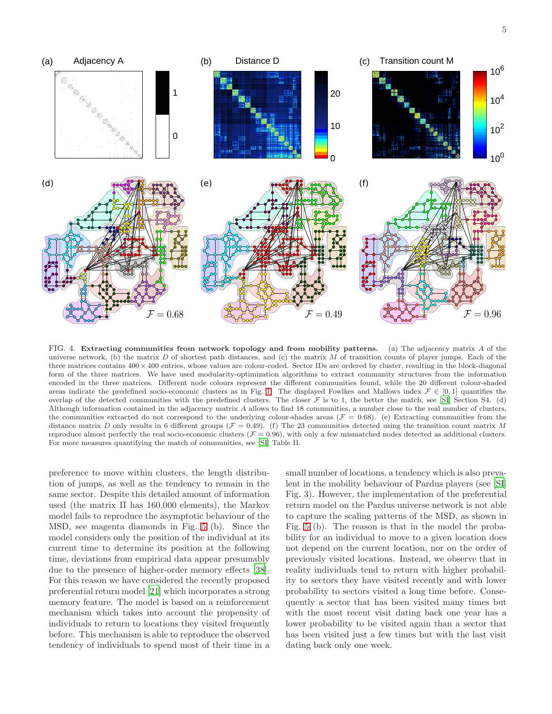

<span id="page-4-0"></span>FIG. 4. Extracting communities from network topology and from mobility patterns. (a) The adjacency matrix A of the universe network, (b) the matrix  $D$  of shortest path distances, and (c) the matrix  $M$  of transition counts of player jumps. Each of the three matrices contains  $400 \times 400$  entries, whose values are colour-coded. Sector IDs are ordered by cluster, resulting in the block-diagonal form of the three matrices. We have used modularity-optimization algorithms to extract community structures from the information encoded in the three matrices. Different node colours represent the different communities found, while the 20 different colour-shaded areas indicate the predefined socio-economic clusters as in Fig. [1.](#page-0-0) The displayed Fowlkes and Mallows index  $\mathcal{F} \in [0,1]$  quantifies the overlap of the detected communities with the predefined clusters. The closer  $\mathcal F$  is to 1, the better the match, see [\[SI\]](#page-7-16) Section S4. (d) Although information contained in the adjacency matrix A allows to find 18 communities, a number close to the real number of clusters, the communities extracted do not correspond to the underlying colour-shades areas ( $\mathcal{F} = 0.68$ ). (e) Extracting communities from the distance matrix D only results in 6 different groups ( $\mathcal{F} = 0.49$ ). (f) The 23 communities detected using the transition count matrix M reproduce almost perfectly the real socio-economic clusters ( $\mathcal{F} = 0.96$ ), with only a few mismatched nodes detected as additional clusters. For more measures quantifying the match of communities, see [\[SI\]](#page-7-16) Table II.

preference to move within clusters, the length distribution of jumps, as well as the tendency to remain in the same sector. Despite this detailed amount of information used (the matrix Π has 160,000 elements), the Markov model fails to reproduce the asymptotic behaviour of the MSD, see magenta diamonds in Fig. [5](#page-5-0) (b). Since the model considers only the position of the individual at its current time to determine its position at the following time, deviations from empirical data appear presumably due to the presence of higher-order memory effects [\[38\]](#page-7-24). For this reason we have considered the recently proposed preferential return model [\[21](#page-7-7)] which incorporates a strong memory feature. The model is based on a reinforcement mechanism which takes into account the propensity of individuals to return to locations they visited frequently before. This mechanism is able to reproduce the observed tendency of individuals to spend most of their time in a

small number of locations, a tendency which is also prevalent in the mobility behaviour of Pardus players (see [\[SI](#page-7-16)] Fig. 3). However, the implementation of the preferential return model on the Pardus universe network is not able to capture the scaling patterns of the MSD, as shown in Fig. [5](#page-5-0) (b). The reason is that in the model the probability for an individual to move to a given location does not depend on the current location, nor on the order of previously visited locations. Instead, we observe that in reality individuals tend to return with higher probability to sectors they have visited recently and with lower probability to sectors visited a long time before. Consequently a sector that has been visited many times but with the most recent visit dating back one year has a lower probability to be visited again than a sector that has been visited just a few times but with the last visit dating back only one week.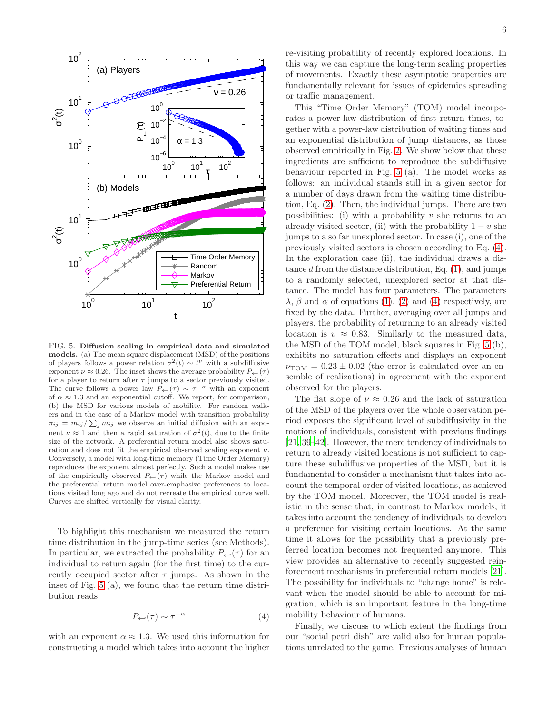

<span id="page-5-0"></span>FIG. 5. Diffusion scaling in empirical data and simulated models. (a) The mean square displacement (MSD) of the positions of players follows a power relation  $\sigma^2(t) \sim t^{\nu}$  with a subdiffusive exponent  $\nu \approx 0.26$ . The inset shows the average probability  $P_{\leftarrow}(\tau)$ for a player to return after  $\tau$  jumps to a sector previously visited. The curve follows a power law  $P_{\leftarrow}(\tau) \sim \tau^{-\alpha}$  with an exponent of  $\alpha \approx 1.3$  and an exponential cutoff. We report, for comparison, (b) the MSD for various models of mobility. For random walkers and in the case of a Markov model with transition probability  $\pi_{ij} = m_{ij}/\sum_j m_{ij}$  we observe an initial diffusion with an exponent  $\nu \approx 1$  and then a rapid saturation of  $\sigma^2(t)$ , due to the finite size of the network. A preferential return model also shows saturation and does not fit the empirical observed scaling exponent  $\nu$ . Conversely, a model with long-time memory (Time Order Memory) reproduces the exponent almost perfectly. Such a model makes use of the empirically observed  $P \leftrightarrow (\tau)$  while the Markov model and the preferential return model over-emphasize preferences to locations visited long ago and do not recreate the empirical curve well. Curves are shifted vertically for visual clarity.

To highlight this mechanism we measured the return time distribution in the jump-time series (see Methods). In particular, we extracted the probability  $P_{\leftarrow}(\tau)$  for an individual to return again (for the first time) to the currently occupied sector after  $\tau$  jumps. As shown in the inset of Fig. [5](#page-5-0) (a), we found that the return time distribution reads

<span id="page-5-1"></span>
$$
P_{\leftarrow}(\tau) \sim \tau^{-\alpha} \tag{4}
$$

with an exponent  $\alpha \approx 1.3$ . We used this information for constructing a model which takes into account the higher

re-visiting probability of recently explored locations. In this way we can capture the long-term scaling properties of movements. Exactly these asymptotic properties are fundamentally relevant for issues of epidemics spreading or traffic management.

This "Time Order Memory" (TOM) model incorporates a power-law distribution of first return times, together with a power-law distribution of waiting times and an exponential distribution of jump distances, as those observed empirically in Fig. [2.](#page-2-0) We show below that these ingredients are sufficient to reproduce the subdiffusive behaviour reported in Fig. [5](#page-5-0) (a). The model works as follows: an individual stands still in a given sector for a number of days drawn from the waiting time distribution, Eq. [\(2\)](#page-2-1). Then, the individual jumps. There are two possibilities: (i) with a probability  $v$  she returns to an already visited sector, (ii) with the probability  $1 - v$  she jumps to a so far unexplored sector. In case (i), one of the previously visited sectors is chosen according to Eq. [\(4\)](#page-5-1). In the exploration case (ii), the individual draws a distance  $d$  from the distance distribution, Eq.  $(1)$ , and jumps to a randomly selected, unexplored sector at that distance. The model has four parameters. The parameters  $\lambda$ ,  $\beta$  and  $\alpha$  of equations [\(1\)](#page-2-2), [\(2\)](#page-2-1) and [\(4\)](#page-5-1) respectively, are fixed by the data. Further, averaging over all jumps and players, the probability of returning to an already visited location is  $v \approx 0.83$ . Similarly to the measured data, the MSD of the TOM model, black squares in Fig. [5](#page-5-0) (b), exhibits no saturation effects and displays an exponent  $\nu_{\text{TOM}} = 0.23 \pm 0.02$  (the error is calculated over an ensemble of realizations) in agreement with the exponent observed for the players.

The flat slope of  $\nu \approx 0.26$  and the lack of saturation of the MSD of the players over the whole observation period exposes the significant level of subdiffusivity in the motions of individuals, consistent with previous findings [\[21,](#page-7-7) [39](#page-7-25)[–42\]](#page-7-26). However, the mere tendency of individuals to return to already visited locations is not sufficient to capture these subdiffusive properties of the MSD, but it is fundamental to consider a mechanism that takes into account the temporal order of visited locations, as achieved by the TOM model. Moreover, the TOM model is realistic in the sense that, in contrast to Markov models, it takes into account the tendency of individuals to develop a preference for visiting certain locations. At the same time it allows for the possibility that a previously preferred location becomes not frequented anymore. This view provides an alternative to recently suggested reinforcement mechanisms in preferential return models [\[21\]](#page-7-7). The possibility for individuals to "change home" is relevant when the model should be able to account for migration, which is an important feature in the long-time mobility behaviour of humans.

Finally, we discuss to which extent the findings from our "social petri dish" are valid also for human populations unrelated to the game. Previous analyses of human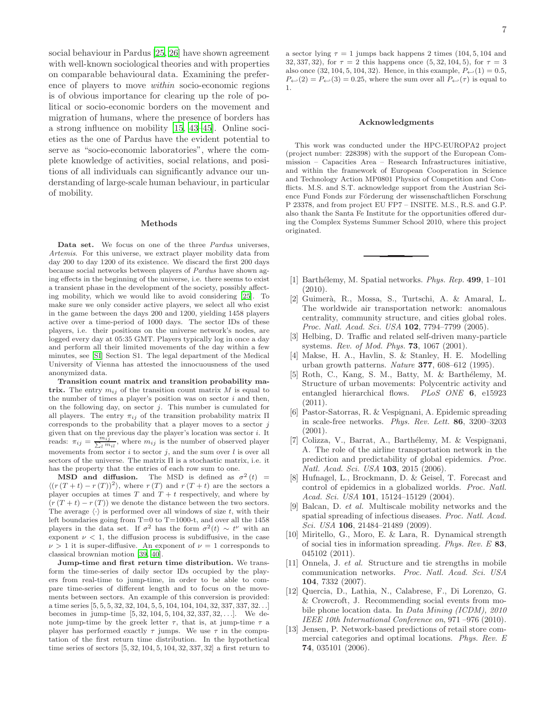social behaviour in Pardus [\[25,](#page-7-11) [26\]](#page-7-17) have shown agreement with well-known sociological theories and with properties on comparable behavioural data. Examining the preference of players to move within socio-economic regions is of obvious importance for clearing up the role of political or socio-economic borders on the movement and migration of humans, where the presence of borders has a strong influence on mobility [\[15](#page-7-1), [43](#page-7-27)[–45\]](#page-7-28). Online societies as the one of Pardus have the evident potential to serve as "socio-economic laboratories", where the complete knowledge of activities, social relations, and positions of all individuals can significantly advance our understanding of large-scale human behaviour, in particular of mobility.

### Methods

Data set. We focus on one of the three Pardus universes, Artemis. For this universe, we extract player mobility data from day 200 to day 1200 of its existence. We discard the first 200 days because social networks between players of Pardus have shown aging effects in the beginning of the universe, i.e. there seems to exist a transient phase in the development of the society, possibly affecting mobility, which we would like to avoid considering [\[25\]](#page-7-11). To make sure we only consider active players, we select all who exist in the game between the days 200 and 1200, yielding 1458 players active over a time-period of 1000 days. The sector IDs of these players, i.e. their positions on the universe network's nodes, are logged every day at 05:35 GMT. Players typically log in once a day and perform all their limited movements of the day within a few minutes, see [\[SI](#page-7-16)] Section S1. The legal department of the Medical University of Vienna has attested the innocuousness of the used anonymized data.

Transition count matrix and transition probability matrix. The entry  $m_{ij}$  of the transition count matrix M is equal to the number of times a player's position was on sector  $i$  and then, on the following day, on sector  $j$ . This number is cumulated for all players. The entry  $\pi_{ij}$  of the transition probability matrix  $\Pi$ corresponds to the probability that a player moves to a sector  $\boldsymbol{j}$ given that on the previous day the player's location was sector *i*. It reads:  $\pi_{ij} = \frac{m_{ij}}{\sum_l m_{il}}$ , where  $m_{ij}$  is the number of observed player movements from sector  $i$  to sector  $j$ , and the sum over  $l$  is over all sectors of the universe. The matrix  $\Pi$  is a stochastic matrix, i.e. it has the property that the entries of each row sum to one.

**MSD** and diffusion. The MSD is defined as  $\sigma^2(t)$  =  $\langle (r(T + t) - r(T))^{2} \rangle$ , where  $r(T)$  and  $r(T + t)$  are the sectors a player occupies at times  $T$  and  $T + t$  respectively, and where by  $(r (T + t) - r (T))$  we denote the distance between the two sectors. The average  $\langle \cdot \rangle$  is performed over all windows of size t, with their left boundaries going from  $T=0$  to  $T=1000$ -t, and over all the 1458 players in the data set. If  $\sigma^2$  has the form  $\sigma^2(t) \sim t^{\nu}$  with an exponent  $\nu < 1$ , the diffusion process is subdiffusive, in the case  $\nu > 1$  it is super-diffusive. An exponent of  $\nu = 1$  corresponds to classical brownian motion [\[39,](#page-7-25) [40\]](#page-7-29).

Jump-time and first return time distribution. We transform the time-series of daily sector IDs occupied by the players from real-time to jump-time, in order to be able to compare time-series of different length and to focus on the movements between sectors. An example of this conversion is provided: a time series [5, 5, 5, 32, 32, 104, 5, 5, 104, 104, 104, 32, 337, 337, 32. . .] becomes in jump-time [5, 32, 104, 5, 104, 32, 337, 32, . . .]. We denote jump-time by the greek letter  $\tau$ , that is, at jump-time  $\tau$  a player has performed exactly  $\tau$  jumps. We use  $\tau$  in the computation of the first return time distribution. In the hypothetical time series of sectors [5, 32, 104, 5, 104, 32, 337, 32] a first return to a sector lying  $\tau = 1$  jumps back happens 2 times (104, 5, 104 and 32, 337, 32), for  $\tau = 2$  this happens once (5, 32, 104, 5), for  $\tau = 3$ also once (32, 104, 5, 104, 32). Hence, in this example,  $P \n\leftarrow (1) = 0.5$ ,  $P_{\leftarrow}(2) = P_{\leftarrow}(3) = 0.25$ , where the sum over all  $P_{\leftarrow}(\tau)$  is equal to 1.

# Acknowledgments

This work was conducted under the HPC-EUROPA2 project (project number: 228398) with the support of the European Commission – Capacities Area – Research Infrastructures initiative, and within the framework of European Cooperation in Science and Technology Action MP0801 Physics of Competition and Conflicts. M.S. and S.T. acknowledge support from the Austrian Science Fund Fonds zur Förderung der wissenschaftlichen Forschung P 23378, and from project EU FP7 – INSITE. M.S., R.S. and G.P. also thank the Santa Fe Institute for the opportunities offered during the Complex Systems Summer School 2010, where this project originated.

- <span id="page-6-0"></span>[1] Barth´elemy, M. Spatial networks. *Phys. Rep.* 499, 1–101  $(2010).$
- <span id="page-6-1"></span>[2] Guimer`a, R., Mossa, S., Turtschi, A. & Amaral, L. The worldwide air transportation network: anomalous centrality, community structure, and cities global roles. *Proc. Natl. Acad. Sci. USA* 102, 7794–7799 (2005).
- <span id="page-6-2"></span>[3] Helbing, D. Traffic and related self-driven many-particle systems. *Rev. of Mod. Phys.* 73, 1067 (2001).
- <span id="page-6-3"></span>[4] Makse, H. A., Havlin, S. & Stanley, H. E. Modelling urban growth patterns. *Nature* 377, 608–612 (1995).
- <span id="page-6-4"></span>[5] Roth, C., Kang, S. M., Batty, M. & Barthélemy, M. Structure of urban movements: Polycentric activity and entangled hierarchical flows. *PLoS ONE* 6, e15923 (2011).
- <span id="page-6-5"></span>[6] Pastor-Satorras, R. & Vespignani, A. Epidemic spreading in scale-free networks. *Phys. Rev. Lett.* 86, 3200–3203 (2001).
- <span id="page-6-11"></span>[7] Colizza, V., Barrat, A., Barth´elemy, M. & Vespignani, A. The role of the airline transportation network in the prediction and predictability of global epidemics. *Proc. Natl. Acad. Sci. USA* 103, 2015 (2006).
- [8] Hufnagel, L., Brockmann, D. & Geisel, T. Forecast and control of epidemics in a globalized worlds. *Proc. Natl. Acad. Sci. USA* 101, 15124–15129 (2004).
- <span id="page-6-6"></span>[9] Balcan, D. *et al.* Multiscale mobility networks and the spatial spreading of infectious diseases. *Proc. Natl. Acad. Sci. USA* 106, 21484–21489 (2009).
- <span id="page-6-7"></span>[10] Miritello, G., Moro, E. & Lara, R. Dynamical strength of social ties in information spreading. *Phys. Rev. E* 83, 045102 (2011).
- <span id="page-6-8"></span>[11] Onnela, J. *et al.* Structure and tie strengths in mobile communication networks. *Proc. Natl. Acad. Sci. USA* 104, 7332 (2007).
- <span id="page-6-9"></span>[12] Quercia, D., Lathia, N., Calabrese, F., Di Lorenzo, G. & Crowcroft, J. Recommending social events from mobile phone location data. In *Data Mining (ICDM), 2010 IEEE 10th International Conference on*, 971 –976 (2010).
- <span id="page-6-10"></span>[13] Jensen, P. Network-based predictions of retail store commercial categories and optimal locations. *Phys. Rev. E* 74, 035101 (2006).